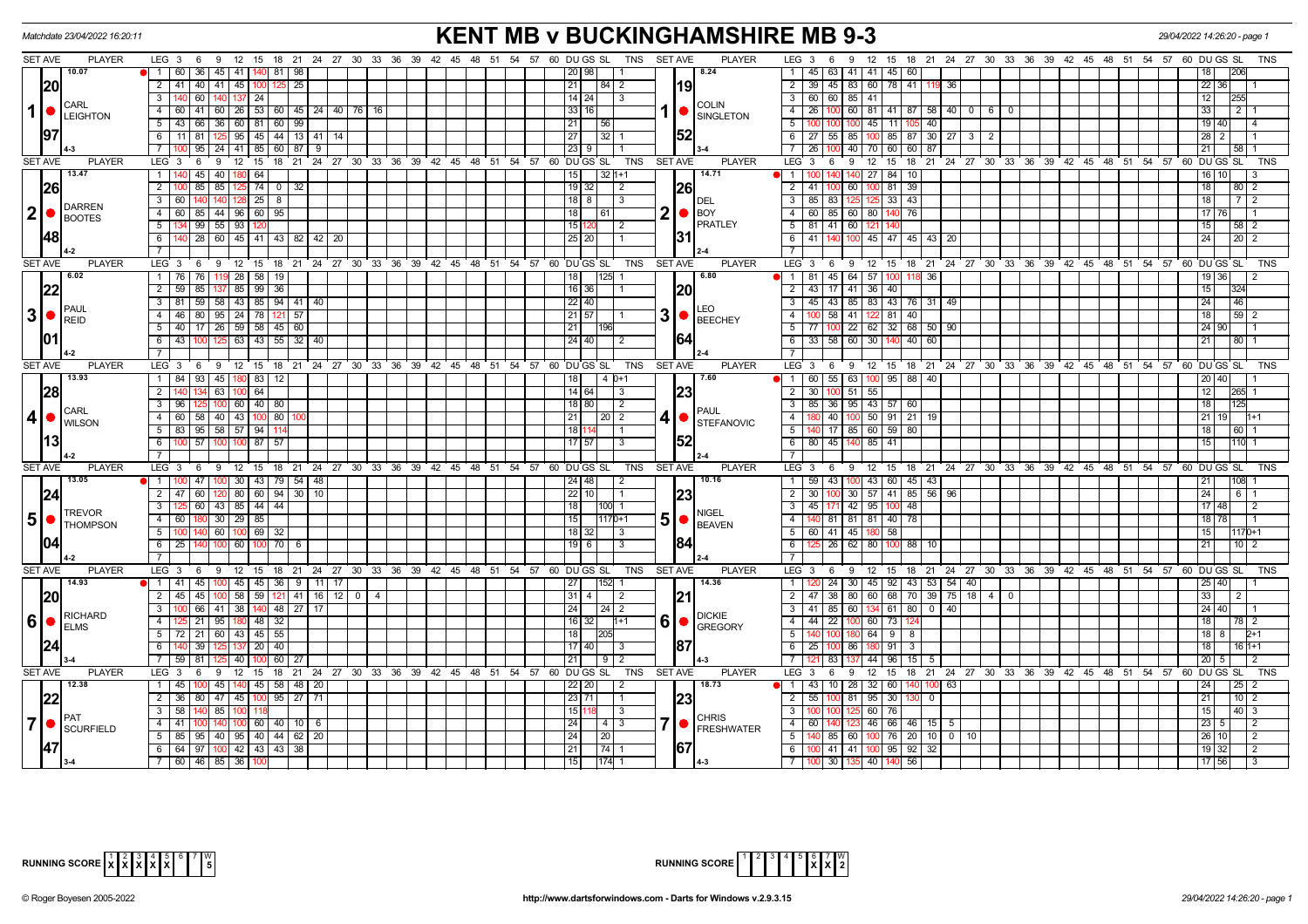| Matchdate 23/04/2022 16:20:11                                                                                               | <b>KENT MB v BUCKINGHAMSHIRE MB 9-3</b>                                              |                                                                                                             | 29/04/2022 14:26:20 - page 1  |
|-----------------------------------------------------------------------------------------------------------------------------|--------------------------------------------------------------------------------------|-------------------------------------------------------------------------------------------------------------|-------------------------------|
| <b>SET AVE</b><br>LEG 3 6 9 12 15 18 21 24 27 30 33 36 39 42 45 48 51 54 57 60 DUGS SL TNS SETAVE<br><b>PLAYER</b>          | <b>PLAYER</b>                                                                        | LEG <sub>3</sub><br>12  15  18  21  24  27  30  33  36  39  42  45  48  51  54  57  60  DU GS  SL<br>6<br>9 | TNS                           |
| 10.07<br>60<br>36 45 41<br>-81 I                                                                                            | 8.24<br>20   98                                                                      | 1   45   63   41   41   45   60                                                                             |                               |
| 20 <br>2 41 40 41 45 100<br>25                                                                                              | 21<br>$84$   2<br> 19                                                                | $2 \mid 39 \mid$<br>45   83   60   78   41   119<br>36                                                      | 22                            |
| $\overline{\mathbf{3}}$<br>60 140 137 24                                                                                    | $14 \mid 24 \mid$ 3                                                                  | 3   60   60   85   41                                                                                       | $\overline{12}$<br><b>255</b> |
| CARL<br>$1$ $\bullet$ $\phantom{0}$ LEIGHTON<br>41 60 26 53 60 45 24 40 76<br>$-4$<br>60                                    | <b>COLIN</b><br>331161<br>SINGLETON                                                  | 60   81   41   87   58   40   0  <br>4   26<br>  6  <br>- 0                                                 | $\overline{33}$<br>211        |
| 66 36 60 81 60 99<br>$5 \mid 43$                                                                                            | 21 <br> 56<br>5                                                                      | $-45$ 11<br>105 40                                                                                          | 19 40 <br>$\overline{14}$     |
| 97 <br>25 95 45 44 13 41 14<br>11<br>6<br>l 81 l                                                                            | 52<br> 32 1<br> 27                                                                   | $6 \mid 27 \mid 55 \mid 85 \mid 100 \mid 85 \mid 87 \mid 30 \mid 27 \mid 3 \mid 2$                          | 28  <br>2                     |
| $95$   24   41   85   60   87<br>$-9$                                                                                       | 23                                                                                   | 40 70 60<br>60 87                                                                                           |                               |
| <b>SET AVE</b><br><b>PLAYER</b><br>LEG <sub>3</sub><br>12 15 18 21 24 27 30 33 36 39 42 45 48 51 54 57 60 DUGS SL<br>6<br>9 | <b>TNS</b><br><b>SET AVE</b><br><b>PLAYER</b>                                        | LEG <sub>3</sub><br>12 15 18 21 24 27 30 33 36 39 42 45 48 51 54 57 60 DUGS SL<br>6<br>9                    | <b>TNS</b>                    |
| 13.47<br>45 40 180 64<br>$\mathbf{1}$                                                                                       | 14.71<br>$32 1+1$<br>  15                                                            | $1 \mid 100$<br>140 27<br>84 10<br>140                                                                      | 16                            |
| 26 <br>85 85<br>$74$ 0 32<br>$\overline{2}$<br>125                                                                          | <b>26</b><br>$19$ 32<br>$\overline{2}$<br>2                                          | 60 100<br>39<br> 41 <br>81                                                                                  | 18<br>$80$   2                |
| د<br>$128$ 25 8<br>60<br>140 140                                                                                            | 18 8 1<br>$\vert$ 3<br><b>IDEL</b>                                                   | $33 \mid 43$<br>3   85   83                                                                                 | 18<br>7   2                   |
| <b>DARREN</b><br>$\mathbf{2}$<br>4 60 85 44 96 60 95                                                                        | $2  \bullet  $ BOY<br>l 18 I<br>  61                                                 | 4 60 85 60 80<br>76                                                                                         | 17   76                       |
| <b>BOOTES</b><br>99 55 93<br>5                                                                                              | <b>PRATLEY</b><br>15 I1                                                              | 5   81   41   60   12                                                                                       | 15<br>58   2                  |
| 48 <br>28 60 45 41 43 82 42 20<br>6                                                                                         | I31<br>6<br>25 20                                                                    | 45 47 45 43 <br>l 41<br>-20                                                                                 | 24<br>2012                    |
|                                                                                                                             |                                                                                      |                                                                                                             |                               |
| <b>SET AVE</b><br><b>PLAYER</b><br>LEG <sup>3</sup><br>12 15 18 21 24 27 30 33 36<br>6<br>9                                 | 39 42 45 48 51 54 57<br>60 DU GS SL<br><b>TNS</b><br><b>SET AVE</b><br><b>PLAYER</b> | LEG <sup>3</sup><br>9 12 15 18 21 24 27 30 33 36 39 42 45 48 51 54 57 60 DUGS SL<br>- 6                     | <b>TNS</b>                    |
| 6.02<br>76 119 28 58 19<br>$1 \overline{76}$                                                                                | 6.80<br>18<br>125                                                                    | $1 \mid 1 \mid 81 \mid 45 \mid 64 \mid 57 \mid 100$<br>118 36                                               | $19$ 36<br>$\frac{1}{2}$      |
| 22 <br>$85 \mid 99 \mid 36$<br>$2 \mid 59 \mid$<br>85                                                                       | $\sqrt{16}$ 36<br>20                                                                 | 2 43 17 41 36 40                                                                                            | 15<br>324                     |
| $3 \mid 81 \mid 59 \mid 58 \mid 43 \mid 85 \mid 94 \mid 41 \mid 40$                                                         | 22   40  <br>$\overline{\mathbf{3}}$                                                 | 45   43   85   83   43   76   31   49                                                                       | 24<br>46                      |
| <b>PAUL</b><br>$3  \bullet  _{REID}$<br>80 95 24 78<br>$121$ 57<br>$\overline{4}$                                           | .EO<br>$30$ $\epsilon$ BEECHEY<br>21157<br>$\overline{4}$                            | 81<br>40<br>58<br>41                                                                                        | 18<br>$59$   2                |
| 17 26 59 58 45 60<br>5 <sub>1</sub><br>40                                                                                   | 21<br>196                                                                            | 22 62 32 68 50 90<br>5   77                                                                                 | 24 90                         |
| 01 <br>100 125 63 43 55 32 40<br>$6 \mid 43$                                                                                | 164<br>$24$   40  <br>$\overline{2}$                                                 | 6 33 58 60 30<br>$40 \ 60$<br>140                                                                           | 21<br>80   1                  |
|                                                                                                                             |                                                                                      |                                                                                                             |                               |
| <b>SET AVE</b><br><b>PLAYER</b><br>LEG <sub>3</sub><br>6 9 12 15 18 21 24 27 30 33 36 39 42 45 48 51 54 57 60 DUGSSL        | <b>PLAYER</b><br><b>SET AVE</b><br>TNS                                               | $LEG \ 3$<br>9 12 15 18 21 24 27 30 33 36 39 42 45 48 51 54 57 60 DUGSSL<br>6                               | TNS                           |
| 13.93<br>1   84   93   45   180   83   12                                                                                   | $14D+1$<br>17.60                                                                     | 1   60   55   63   100   95   88   40                                                                       | 20 40                         |
| 28<br>$\overline{2}$<br>134 63 100 64                                                                                       | 14 64 <br>23<br>3                                                                    | 2 30 100 51 55                                                                                              | 12                            |
| 25 100 60 40 80<br>$\overline{\mathbf{3}}$                                                                                  | 181801<br>$\sqrt{2}$                                                                 | 3   85   36   95   43   57   60                                                                             | 18                            |
| CARL<br>4 <sup>1</sup><br>58 40 43 100 80<br>$4 \overline{60}$                                                              | PAUL<br> 21 <br>$\sqrt{20}$ 2<br>$\overline{4}$                                      | $-40$<br>100 50 91 21 19                                                                                    | 21<br>191 11+1                |
| <b>WILSON</b><br>5   83   95   58   57   94   114                                                                           | <b>STEFANOVIC</b><br>18111                                                           | 5   140   17   85   60   59   80                                                                            | 18<br> 60  1                  |
| 13 <br>57 100<br>6<br>100<br>87 57                                                                                          | 52<br>17 57 1<br>-3                                                                  | 6 80 45 140 85 41                                                                                           | 15<br>110 1                   |
|                                                                                                                             |                                                                                      |                                                                                                             |                               |
| <b>SET AVE</b><br><b>PLAYER</b><br>LEG 3<br>6 9 12 15 18 21 24 27 30 33 36 39 42 45 48 51 54 57 60 DUGS SL                  | TNS<br><b>SET AVE</b><br><b>PLAYER</b>                                               | LEG <sub>3</sub><br>9 12 15 18 21 24 27 30 33 36 39 42 45 48 51 54 57 60 DUGSSL<br>6                        | <b>TNS</b>                    |
| 13.05<br>47 100 30 43 79 54 48<br>$\bullet$ 1 100                                                                           | 10.16                                                                                | 1   59   43   100   43   60   45   43                                                                       | 108 1<br> 21                  |
| $60$ 120 80 60 94 30 10<br> 24 <br>$2 \mid 47$                                                                              | $22$   10  <br>23                                                                    | 30 57 41 85 56 96<br>$2 \mid 30$<br>100 <sup>1</sup>                                                        | 24<br>$6 \mid 1$              |
| 60 43 85 44 44<br>$\mathbf{3}$                                                                                              | 18 <br>$3^{\circ}$<br>$ 100 $ 1                                                      | 171 42 95<br>$100$ 48<br>  45                                                                               | 17148<br>$\overline{12}$      |
| <b>TREVOR</b><br>5 <sup>1</sup><br>180 30 29 85<br>4 60<br><b>THOMPSON</b>                                                  | NIGEL<br>$5\bullet$<br>15<br>$1170+1$<br><b>BEAVEN</b>                               | 4   140   81   81   81   40   78                                                                            | 18   78                       |
| 5<br>140 60 100<br>69 32                                                                                                    | 18 32 1<br>5                                                                         | 41 45 1<br>58<br>l 60 l                                                                                     | 15<br>1170+1                  |
| 104<br>60<br>$100$ 70 6<br>6                                                                                                | 184<br>19 6 1<br>3                                                                   | 26<br>62 80<br>88 10                                                                                        | 21<br>1012                    |
| $\overline{7}$                                                                                                              |                                                                                      |                                                                                                             |                               |
| 12 15 18 21 24 27 30 33 36 39 42 45 48 51 54 57 60 DUGS SL<br><b>SET AVE</b><br><b>PLAYER</b><br>LEG 3<br>6<br>9            | <b>TNS</b><br><b>SET AVE</b><br><b>PLAYER</b>                                        | LEG 3<br>9 12 15 18 21 24 27 30 33 36 39 42 45 48 51 54 57 60 DUGS SL<br>6                                  | <b>TNS</b>                    |
| 14.93<br>45 100 45 45 36 9 11 17<br>$\bullet$ 1 41                                                                          | $152$ 1<br>14.36<br> 27 <br>$\overline{1}$                                           | 24 30 45 92 43 53 54 40                                                                                     | 25 40                         |
| <b>20</b><br>45 100 58 59 121 41 16 12 0 4<br>$2 \mid 45$                                                                   | 21 <br>$31 \mid 4 \mid 2$                                                            | 2   47   38   80   60   68   70   39   75   18   4   0                                                      | 33<br>2                       |
| 3<br>66 41 38 140 48 27 17<br>RICHARD                                                                                       | $\overline{24}$<br>  24   2<br><b>DICKIE</b>                                         | $3   41   85   60   134   61   80   0   40$                                                                 | 24   40                       |
| 6<br>21 95 180 48 32<br>$\bigcap_{\mathsf{ELMS}}$<br>$\overline{4}$                                                         | $6 \nvert \nvert$ GREGORY<br>16 32<br>$h+1$<br>$\overline{4}$                        | $\vert 44 \vert 22 \vert$<br>100 60 73                                                                      | 18<br>78   2                  |
| 21 60 43 45 55<br>$5 \mid 72 \mid$                                                                                          | 205<br>5<br> 18                                                                      | 180 64 9 8                                                                                                  | 18 8 1<br>$2+1$               |
| 24<br>6<br>39<br>20<br>40                                                                                                   | 87<br>17 40<br>6                                                                     | 25 <br>86<br>91<br>$\overline{\mathbf{3}}$                                                                  | 18 <br>$16h+1$                |
| 7   59<br>-81 I<br>60 I<br>40                                                                                               | 21  <br>l 9 I                                                                        | 96<br>15 <sup>1</sup><br>83<br>  44                                                                         | 20                            |
| <b>SET AVE</b><br><b>PLAYER</b><br>LEG <sub>3</sub><br>6 9 12 15 18 21 24 27 30 33 36 39 42 45 48 51 54 57 60 DUGS SL       | <b>SET AVE</b><br><b>PLAYER</b><br>TNS                                               | $LEG$ 3<br>6 9 12 15 18 21 24 27 30 33 36 39 42 45 48 51 54 57 60 DUGS SL                                   | <b>TNS</b>                    |
| 12.38<br>45<br>45 58 48 20                                                                                                  | 18.73<br>22 20                                                                       | 28<br>32 I<br>60<br>63                                                                                      | 24<br>251                     |
| 22 <br>80 47 45 100 95 27 71<br>2 36                                                                                        | 23<br>23 71<br>2                                                                     | 55<br>81 95<br>30                                                                                           | 21<br>$10$   2                |
| $\overline{\mathbf{3}}$<br>58<br>85                                                                                         | 1511<br>3<br>-3<br><b>CHRIS</b>                                                      | - 60 I<br>76                                                                                                | 15<br>40 3                    |
| $\mathbf{7}$<br>$100 \ 60 \ 40 \ 10 \ 6$<br>4   41<br>SCURFIELD                                                             | 24<br> 4 3<br>4<br><b>FRESHWATER</b>                                                 | 46 66 46 15<br>60 I<br>- 5                                                                                  | 23<br>$\vert$ 2<br>5          |
| 5   85   95   40   95   40   44   62   20                                                                                   | 24<br> 20 <br>5                                                                      | 140 85 60 100 76 20 10 0 10                                                                                 | 26 <br>$\overline{2}$<br>10 I |
| 47 <br>6 64 97 100 42 43 43 38                                                                                              | 67<br>$\sqrt{74}$ 1<br> 21                                                           | 6   100   41   41   100   95   92   32                                                                      | 19 32 <br>$\overline{2}$      |
| $7$ 60 46 85 36 100                                                                                                         | 115<br>$1174$ 1                                                                      | 7   100   30   135   40   140   56                                                                          | $17$ 56                       |

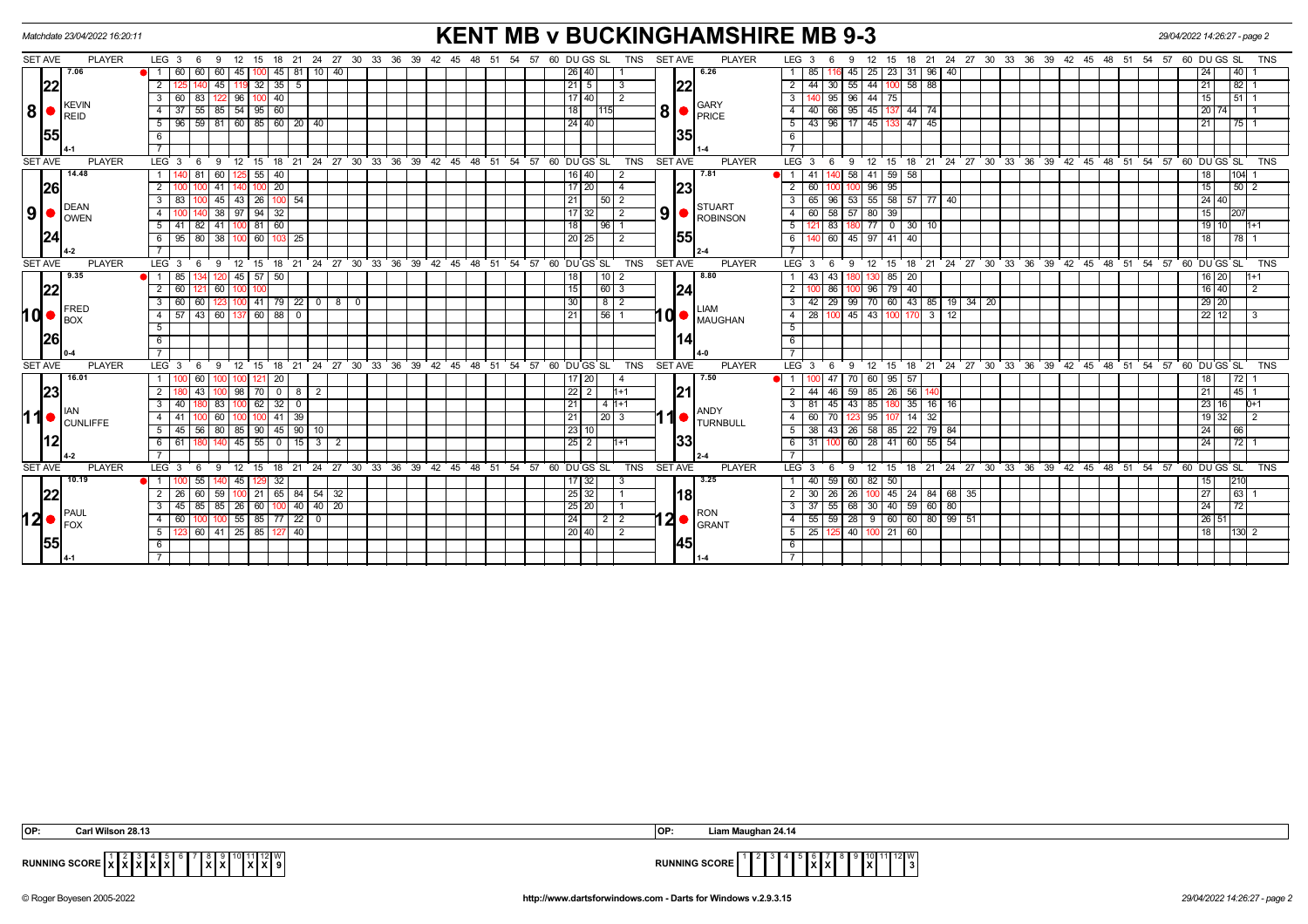| Matchdate 23/04/2022 16:20:11                                                                                                         | <b>KENT MB v BUCKINGHAMSHIRE MB 9-3</b>                                                                |                                                                                               | 29/04/2022 14:26:27 - page 2                                              |
|---------------------------------------------------------------------------------------------------------------------------------------|--------------------------------------------------------------------------------------------------------|-----------------------------------------------------------------------------------------------|---------------------------------------------------------------------------|
| <b>SET AVE</b><br><b>PLAYER</b><br>$LEG_36$<br>12<br>9<br>15                                                                          | 18 21 24 27 30 33 36 39 42 45 48 51 54 57 60 DU GS SL<br><b>TNS</b><br><b>SET AVE</b><br><b>PLAYER</b> | LEG <sub>3</sub><br>18 21 24 27 30 33 36 39 42 45 48 51 54 57 60 DUGS SL<br>15<br>-9          | <b>TNS</b>                                                                |
| 7.06<br>60<br>$45$ 81<br>10   40<br>60<br>60<br><b>i</b> 1<br>45                                                                      | 6.26<br> 26 40                                                                                         | 25 23 31 96<br>40<br>85<br>45 I                                                               | 40 <br>24                                                                 |
| 22<br>45<br>35<br>32<br>$5\overline{)}$<br>2                                                                                          | 22<br> 21 5<br>-3                                                                                      | $58$ 88<br>55<br>44<br>$\overline{2}$<br>44<br>30                                             | 82 <br>21                                                                 |
| $100$ 40<br>$\mathbf{3}$<br>122 96 1<br>60 I<br>  83                                                                                  | 17 40 <br>2                                                                                            | $\overline{\mathbf{3}}$<br>95 96 44 75                                                        | $\frac{1}{51}$ 1<br>15                                                    |
| <b>KEVIN</b><br> 8 <br>85 54 95 60<br>$\overline{4}$<br>37<br>55<br>REID                                                              | <b>GARY</b><br>8 <sup>1</sup><br>$\overline{118}$<br><b>PRICE</b>                                      | 66 95<br>$\overline{4}$<br>45 137<br>44 74<br>40                                              | 20<br>74                                                                  |
| $96$ 59 81 60 85 60 20 40<br>5                                                                                                        | 24 40                                                                                                  | $\overline{5}$   43   96   17   45   133   47   45                                            | 21<br>$\begin{array}{c c c c c} \hline \text{175} & \text{1} \end{array}$ |
| 55<br>6                                                                                                                               | I35                                                                                                    | 6                                                                                             |                                                                           |
|                                                                                                                                       |                                                                                                        | $\overline{7}$                                                                                |                                                                           |
| 24 27 30 33 36 39 42 45 48<br><b>SET AVE</b><br><b>PLAYER</b><br>LEG <sup>3</sup><br>12 15<br>18 21<br>- 6<br>9                       | 51 54 57 60 DUGS SL<br><b>TNS</b><br><b>SET AVE</b><br><b>PLAYER</b>                                   | 12 15 18 21 24 27 30 33 36 39 42 45 48 51 54 57 60 DUGS SL<br>LEG <sup>3</sup><br>9<br>6      | <b>TNS</b>                                                                |
| 14.48<br>40<br>60<br>55                                                                                                               | 16 40 <br>7.81<br>$\overline{2}$                                                                       | 58<br>41 59 58<br>$\bullet$ 1 1                                                               | 104 <br>18                                                                |
| 26<br>20<br>2<br>41                                                                                                                   | 23<br>17 20                                                                                            | 2<br>60<br>96<br>95                                                                           | 15<br> 50 2                                                               |
| 45<br>100 54<br>$\overline{\mathbf{3}}$<br>26<br>43<br><b>DEAN</b>                                                                    | 21<br>50<br>l 2<br><b>STUART</b>                                                                       | 55 58 57 77 40<br>65<br>96<br>53<br>$\overline{\mathbf{3}}$                                   | 24 40                                                                     |
| 9 <br>38 97 94<br>32<br>-4<br><b>OWEN</b>                                                                                             | 9 <sub>l</sub><br>  17   32  <br>$\overline{2}$<br>ROBINSON                                            | 60 58 57 80 39<br>4 I                                                                         | 15<br>207                                                                 |
| 60<br>5<br>41<br>-81 I<br>41<br>82                                                                                                    | 18 <br>96 <sub>1</sub>                                                                                 | 5<br>83<br>77 0<br>$30 \mid 10$                                                               | 19<br>  10                                                                |
| 95   80   38   100   60  <br>6<br>103 25                                                                                              | 55<br>20 25 1<br>2                                                                                     | 40 60 45 97 41 40<br>$6$ 1                                                                    | 18 <sup>1</sup>                                                           |
|                                                                                                                                       |                                                                                                        | $\overline{7}$                                                                                |                                                                           |
| 12 15 18 21 24 27 30 33 36 39 42 45 48 51 54 57 60 DUGS SL<br><b>SET AVE</b><br><b>PLAYER</b><br>LEG <sup>3</sup><br>6<br>9           | <b>SET AVE</b><br><b>TNS</b><br><b>PLAYER</b>                                                          | 15 18 21 24 27 30 33 36 39 42 45 48 51 54 57 60 DUGS SL<br>LEG <sup>'</sup> 3<br>9<br>12<br>6 | <b>TNS</b>                                                                |
| 9.35<br>85<br>45<br>$57$ 50<br>11                                                                                                     | $\sqrt{10}$ 2<br>8.80<br>  18                                                                          | 43<br>85<br>43<br>20                                                                          | $16$   20                                                                 |
| 22 <br>60<br>$\overline{2}$<br>60                                                                                                     | $\sqrt{60}$ 3<br> 15 <br>24                                                                            | $96$ 79 40<br>$\overline{2}$<br>86                                                            | $16$ 40<br>$\overline{2}$                                                 |
| $79$   22   0   8  <br>3<br>41<br>$\mathbf{0}$<br>FRED                                                                                | 130 I<br>$812$<br>LIAM                                                                                 | 29<br>$\sqrt{99}$<br>70 60 43 85 19 34 20<br>$3^{\circ}$                                      | 29 20                                                                     |
| 10 ●<br>$\overline{60}$ 88<br>60<br>$\overline{4}$<br>57<br> 43 <br>$\overline{0}$<br>$I_{\rm BOX}$                                   | 10 MAUGHAN<br>$\sqrt{56}$ 1<br>  21                                                                    | $145$ 43 100<br>$\overline{28}$<br>$3 \mid 12$<br>$-4$<br>10 <sub>C</sub><br>170              | $22$   12<br>3                                                            |
| 5                                                                                                                                     |                                                                                                        | 5                                                                                             |                                                                           |
| 26<br>6                                                                                                                               |                                                                                                        | 6                                                                                             |                                                                           |
|                                                                                                                                       |                                                                                                        |                                                                                               |                                                                           |
| <b>SET AVE</b><br><b>PLAYER</b><br>30 33 36 39 42 45 48<br>LEG <sub>3</sub><br>12<br>18<br>21<br>$24 \overline{27}$<br>15<br>9<br>- 6 | 51 54 57 60 DUGS SL<br><b>TNS</b><br><b>SET AVE</b><br><b>PLAYER</b>                                   | $LEG$ 3<br>21 24 27 30 33 36 39<br>12<br>42 45 48 51<br>54<br>9<br>15<br>18                   | 57 60 DU GS SL<br><b>TNS</b>                                              |
| 16.01                                                                                                                                 | 7.50<br>20<br>47<br>60<br>  17   20<br> 22 2<br>$\overline{2}$<br>46                                   | 60 I<br>95<br>57                                                                              | 72<br>18                                                                  |
| 23 <br>$\overline{0}$<br>2<br>98 70<br>43<br>8<br>-2                                                                                  | 21<br>1+1                                                                                              | $85 \mid 26$<br>56<br>59                                                                      | 45 1<br>21                                                                |
| $100$ 62 32 0<br>$\overline{3}$<br>83<br>40                                                                                           | 21 <br>4 11+1<br>ANDY                                                                                  | 45   43   85   180   35   16   16<br>3   81                                                   | 23<br>  16  <br>$D+1$                                                     |
| 11●<br>60<br>$41 \overline{)39}$<br>$\overline{4}$<br><b>CUNLIFFE</b>                                                                 | 21 <br>I 20 I 3<br><b>TURNBULL</b>                                                                     | 95<br>$\overline{4}$<br>60<br>14<br>32                                                        | 19<br>32 <br>2                                                            |
| $45$ 90 10<br>80 85 90<br>5 <sup>5</sup><br>45   56                                                                                   | $\frac{1}{23}$ 10                                                                                      |                                                                                               | 24<br> 66                                                                 |
| 45<br>55<br>$\overline{0}$<br>15<br>6<br>61<br>3   2                                                                                  | 33 <br>$\sqrt{25}$ 2<br>l1+1                                                                           | $60$ 55<br>$-54$<br>60<br>28 41<br>6 31                                                       | 72 <br>$\overline{24}$                                                    |
|                                                                                                                                       |                                                                                                        | $\overline{7}$                                                                                |                                                                           |
| <b>SET AVE</b><br><b>PLAYER</b><br>$LEG$ 3<br>18 21 24 27 30 33 36 39 42 45<br>12<br>15<br>-9<br>- 6                                  | <b>SET AVE</b><br>57<br>60 DUGS SL<br><b>TNS</b><br><b>PLAYER</b><br>48<br>51<br>54                    | LEG <sup>3</sup><br>15 18 21 24 27 30 33 36 39<br>- 9<br>12<br>42 45 48<br>51<br>- 54<br>- 6  | 57<br>60 DUGS SL<br><b>TNS</b>                                            |
| 10.19<br>$\overline{1}$<br>32                                                                                                         | 3.25<br>$\sqrt{17}$ 32                                                                                 | 59<br>60<br>82<br>50                                                                          | 210                                                                       |
| 22 <br>$100$ 21 65 84 54 32<br>59<br>26<br>60                                                                                         | l18l<br> 25 32                                                                                         | 100 45 24 84 68 35<br>2 I<br>26<br>26<br>30                                                   | 27<br> 63                                                                 |
| 85<br>40 40 20<br>3<br>26<br>60<br>85<br>100<br>PAUL                                                                                  | 25 20<br><b>RON</b>                                                                                    | $30 \mid 40$<br>59 60<br>80<br>55<br>68<br>3                                                  | 72 <br>24                                                                 |
| 12● <br>$55 \ 85 \ 77 \ 22 \ 0$<br>$\overline{4}$<br>60<br>1001<br><b>IFOX</b>                                                        | $12 \bullet$ $\int_{\text{GRANT}}$<br> 24                                                              | 55 59 28 9 60 60 80 99 51<br>4 I                                                              | 26 51                                                                     |
| 41 25 85<br>40<br>5<br>60<br>127                                                                                                      | 20 40 <br>2                                                                                            | $5 \mid 25$<br> 40 <br>$100$ 21<br>60                                                         | 18<br>$ 130 $ 2                                                           |
| <b>155</b><br>6                                                                                                                       | 45                                                                                                     | 6                                                                                             |                                                                           |
|                                                                                                                                       |                                                                                                        | $\overline{7}$                                                                                |                                                                           |

| OP:          | 0.04       | <b>OP</b><br>Liam Maughan 24.14                                       |
|--------------|------------|-----------------------------------------------------------------------|
| <b>RUNNI</b> | 112IW<br>. | FFI 12 I W<br>$\sim$<br>RUNI<br> x <br>ּיי<br>www.acore<br>I 5<br>^*^ |